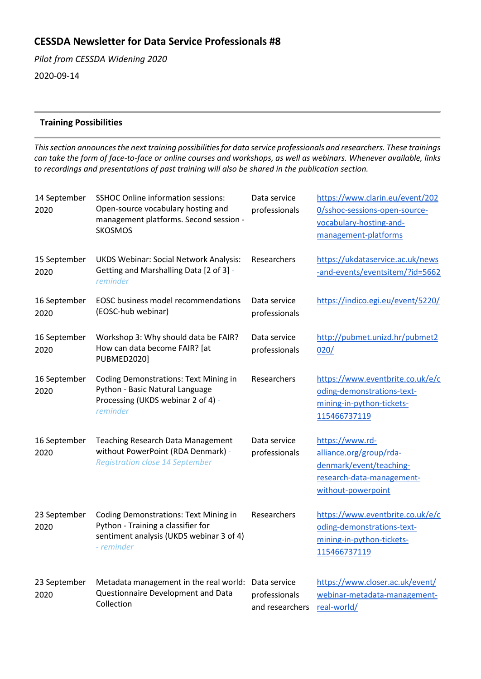# **CESSDA Newsletter for Data Service Professionals #8**

*Pilot from CESSDA Widening 2020* 2020-09-14

## **Training Possibilities**

*This section announces the next training possibilities for data service professionals and researchers. These trainings can take the form of face-to-face or online courses and workshops, as well as webinars. Whenever available, links to recordings and presentations of past training will also be shared in the publication section.*

| 14 September<br>2020 | <b>SSHOC Online information sessions:</b><br>Open-source vocabulary hosting and<br>management platforms. Second session -<br><b>SKOSMOS</b>  | Data service<br>professionals                    | https://www.clarin.eu/event/202<br>0/sshoc-sessions-open-source-<br>vocabulary-hosting-and-<br>management-platforms      |
|----------------------|----------------------------------------------------------------------------------------------------------------------------------------------|--------------------------------------------------|--------------------------------------------------------------------------------------------------------------------------|
| 15 September<br>2020 | <b>UKDS Webinar: Social Network Analysis:</b><br>Getting and Marshalling Data [2 of 3] -<br>reminder                                         | Researchers                                      | https://ukdataservice.ac.uk/news<br>-and-events/eventsitem/?id=5662                                                      |
| 16 September<br>2020 | <b>EOSC business model recommendations</b><br>(EOSC-hub webinar)                                                                             | Data service<br>professionals                    | https://indico.egi.eu/event/5220/                                                                                        |
| 16 September<br>2020 | Workshop 3: Why should data be FAIR?<br>How can data become FAIR? [at<br><b>PUBMED2020]</b>                                                  | Data service<br>professionals                    | http://pubmet.unizd.hr/pubmet2<br>020/                                                                                   |
| 16 September<br>2020 | <b>Coding Demonstrations: Text Mining in</b><br>Python - Basic Natural Language<br>Processing (UKDS webinar 2 of 4) -<br>reminder            | Researchers                                      | https://www.eventbrite.co.uk/e/c<br>oding-demonstrations-text-<br>mining-in-python-tickets-<br>115466737119              |
| 16 September<br>2020 | <b>Teaching Research Data Management</b><br>without PowerPoint (RDA Denmark) -<br><b>Registration close 14 September</b>                     | Data service<br>professionals                    | https://www.rd-<br>alliance.org/group/rda-<br>denmark/event/teaching-<br>research-data-management-<br>without-powerpoint |
| 23 September<br>2020 | <b>Coding Demonstrations: Text Mining in</b><br>Python - Training a classifier for<br>sentiment analysis (UKDS webinar 3 of 4)<br>- reminder | Researchers                                      | https://www.eventbrite.co.uk/e/c<br>oding-demonstrations-text-<br>mining-in-python-tickets-<br>115466737119              |
| 23 September<br>2020 | Metadata management in the real world:<br>Questionnaire Development and Data<br>Collection                                                   | Data service<br>professionals<br>and researchers | https://www.closer.ac.uk/event/<br>webinar-metadata-management-<br>real-world/                                           |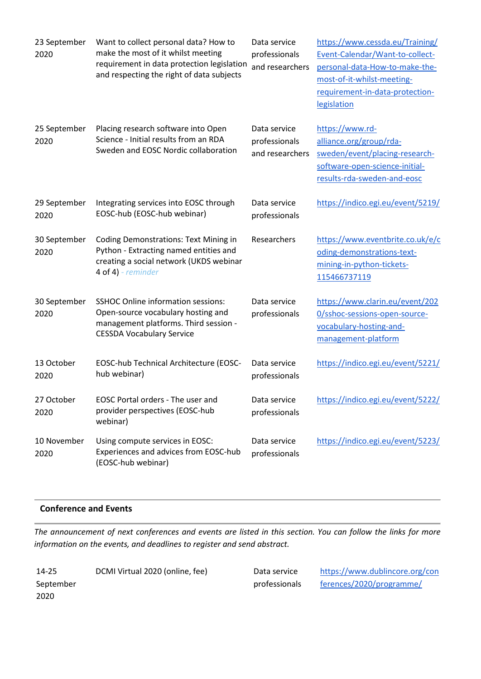| 23 September<br>2020 | Want to collect personal data? How to<br>make the most of it whilst meeting<br>requirement in data protection legislation<br>and respecting the right of data subjects | Data service<br>professionals<br>and researchers | https://www.cessda.eu/Training/<br>Event-Calendar/Want-to-collect-<br>personal-data-How-to-make-the-<br>most-of-it-whilst-meeting-<br>requirement-in-data-protection-<br>legislation |
|----------------------|------------------------------------------------------------------------------------------------------------------------------------------------------------------------|--------------------------------------------------|--------------------------------------------------------------------------------------------------------------------------------------------------------------------------------------|
| 25 September<br>2020 | Placing research software into Open<br>Science - Initial results from an RDA<br>Sweden and EOSC Nordic collaboration                                                   | Data service<br>professionals<br>and researchers | https://www.rd-<br>alliance.org/group/rda-<br>sweden/event/placing-research-<br>software-open-science-initial-<br>results-rda-sweden-and-eosc                                        |
| 29 September<br>2020 | Integrating services into EOSC through<br>EOSC-hub (EOSC-hub webinar)                                                                                                  | Data service<br>professionals                    | https://indico.egi.eu/event/5219/                                                                                                                                                    |
| 30 September<br>2020 | <b>Coding Demonstrations: Text Mining in</b><br>Python - Extracting named entities and<br>creating a social network (UKDS webinar<br>4 of 4) - $reminder$              | Researchers                                      | https://www.eventbrite.co.uk/e/c<br>oding-demonstrations-text-<br>mining-in-python-tickets-<br>115466737119                                                                          |
| 30 September<br>2020 | <b>SSHOC Online information sessions:</b><br>Open-source vocabulary hosting and<br>management platforms. Third session -<br><b>CESSDA Vocabulary Service</b>           | Data service<br>professionals                    | https://www.clarin.eu/event/202<br>0/sshoc-sessions-open-source-<br>vocabulary-hosting-and-<br>management-platform                                                                   |
| 13 October<br>2020   | EOSC-hub Technical Architecture (EOSC-<br>hub webinar)                                                                                                                 | Data service<br>professionals                    | https://indico.egi.eu/event/5221/                                                                                                                                                    |
| 27 October<br>2020   | EOSC Portal orders - The user and<br>provider perspectives (EOSC-hub<br>webinar)                                                                                       | Data service<br>professionals                    | https://indico.egi.eu/event/5222/                                                                                                                                                    |
| 10 November<br>2020  | Using compute services in EOSC:<br>Experiences and advices from EOSC-hub<br>(EOSC-hub webinar)                                                                         | Data service<br>professionals                    | https://indico.egi.eu/event/5223/                                                                                                                                                    |

## **Conference and Events**

*The announcement of next conferences and events are listed in this section. You can follow the links for more information on the events, and deadlines to register and send abstract.*

| 14-25     | DCMI Virtual 2020 (online, fee) |
|-----------|---------------------------------|
| September |                                 |
| 2020      |                                 |

Data service professionals [https://www.dublincore.org/con](https://www.dublincore.org/conferences/2020/programme/) [ferences/2020/programme/](https://www.dublincore.org/conferences/2020/programme/)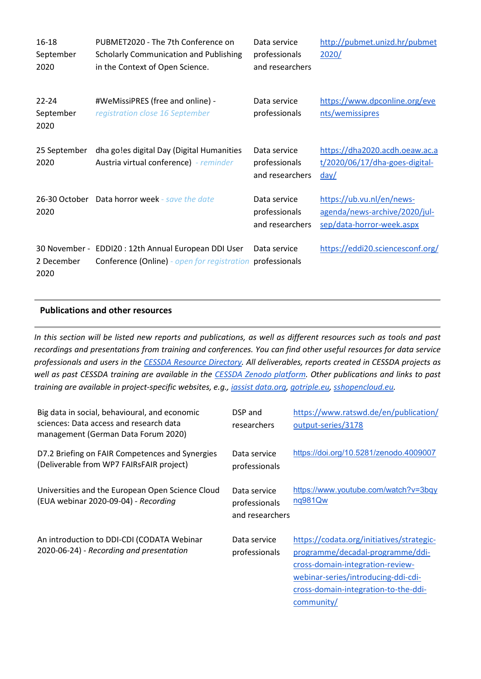| 16-18<br>September<br>2020     | PUBMET2020 - The 7th Conference on<br><b>Scholarly Communication and Publishing</b><br>in the Context of Open Science. | Data service<br>professionals<br>and researchers | http://pubmet.unizd.hr/pubmet<br>2020/                                                  |
|--------------------------------|------------------------------------------------------------------------------------------------------------------------|--------------------------------------------------|-----------------------------------------------------------------------------------------|
| $22 - 24$<br>September<br>2020 | #WeMissiPRES (free and online) -<br>registration close 16 September                                                    | Data service<br>professionals                    | https://www.dpconline.org/eve<br>nts/wemissipres                                        |
| 25 September<br>2020           | dha go!es digital Day (Digital Humanities<br>Austria virtual conference) - reminder                                    | Data service<br>professionals<br>and researchers | https://dha2020.acdh.oeaw.ac.a<br>t/2020/06/17/dha-goes-digital-<br>day/                |
| 2020                           | 26-30 October Data horror week - save the date                                                                         | Data service<br>professionals<br>and researchers | https://ub.vu.nl/en/news-<br>agenda/news-archive/2020/jul-<br>sep/data-horror-week.aspx |
| 2 December<br>2020             | 30 November - EDDI20 : 12th Annual European DDI User<br><b>Conference (Online)</b> - open for registration             | Data service<br>professionals                    | https://eddi20.sciencesconf.org/                                                        |

## **Publications and other resources**

*In this section will be listed new reports and publications, as well as different resources such as tools and past recordings and presentations from training and conferences. You can find other useful resources for data service professionals and users in the [CESSDA Resource Directory.](https://www.zotero.org/groups/2382601/cessda_resource_directory/library) All deliverables, reports created in CESSDA projects as well as past CESSDA training are available in the [CESSDA Zenodo platform.](https://zenodo.org/communities/cessda/) Other publications and links to past training are available in project-specific websites, e.g., [iassist data.org,](https://iassistdata.org/) [gotriple.eu,](https://www.cessda.eu/content/download/5055/55985/file/TRIPLE_A5_LEAFLET.pdf) [sshopencloud.eu.](https://sshopencloud.eu/)*

| Big data in social, behavioural, and economic<br>sciences: Data access and research data<br>management (German Data Forum 2020) | DSP and<br>researchers                           | https://www.ratswd.de/en/publication/<br>output-series/3178                                                                                                                                                    |
|---------------------------------------------------------------------------------------------------------------------------------|--------------------------------------------------|----------------------------------------------------------------------------------------------------------------------------------------------------------------------------------------------------------------|
| D7.2 Briefing on FAIR Competences and Synergies<br>(Deliverable from WP7 FAIRsFAIR project)                                     | Data service<br>professionals                    | https://doi.org/10.5281/zenodo.4009007                                                                                                                                                                         |
| Universities and the European Open Science Cloud<br>(EUA webinar 2020-09-04) - Recording                                        | Data service<br>professionals<br>and researchers | https://www.youtube.com/watch?v=3bqy<br>nq981Qw                                                                                                                                                                |
| An introduction to DDI-CDI (CODATA Webinar<br>2020-06-24) - Recording and presentation                                          | Data service<br>professionals                    | https://codata.org/initiatives/strategic-<br>programme/decadal-programme/ddi-<br>cross-domain-integration-review-<br>webinar-series/introducing-ddi-cdi-<br>cross-domain-integration-to-the-ddi-<br>community/ |